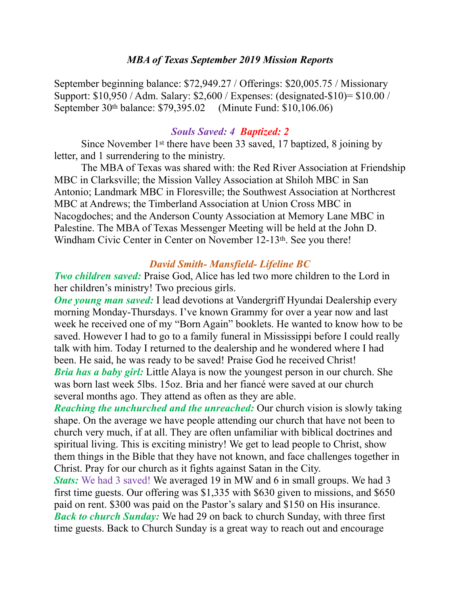#### *MBA of Texas September 2019 Mission Reports*

September beginning balance: \$72,949.27 / Offerings: \$20,005.75 / Missionary Support: \$10,950 / Adm. Salary: \$2,600 / Expenses: (designated-\$10)= \$10.00 / September 30th balance: \$79,395.02 (Minute Fund: \$10,106.06)

#### *Souls Saved: 4 Baptized: 2*

 Since November 1st there have been 33 saved, 17 baptized, 8 joining by letter, and 1 surrendering to the ministry.

 The MBA of Texas was shared with: the Red River Association at Friendship MBC in Clarksville; the Mission Valley Association at Shiloh MBC in San Antonio; Landmark MBC in Floresville; the Southwest Association at Northcrest MBC at Andrews; the Timberland Association at Union Cross MBC in Nacogdoches; and the Anderson County Association at Memory Lane MBC in Palestine. The MBA of Texas Messenger Meeting will be held at the John D. Windham Civic Center in Center on November 12-13<sup>th</sup>. See you there!

#### *David Smith- Mansfield- Lifeline BC*

*Two children saved:* Praise God, Alice has led two more children to the Lord in her children's ministry! Two precious girls.

*One young man saved:* I lead devotions at Vandergriff Hyundai Dealership every morning Monday-Thursdays. I've known Grammy for over a year now and last week he received one of my "Born Again" booklets. He wanted to know how to be saved. However I had to go to a family funeral in Mississippi before I could really talk with him. Today I returned to the dealership and he wondered where I had been. He said, he was ready to be saved! Praise God he received Christ! *Bria has a baby girl:* Little Alaya is now the youngest person in our church. She was born last week 5lbs. 15oz. Bria and her fiancé were saved at our church several months ago. They attend as often as they are able.

*Reaching the unchurched and the unreached:* Our church vision is slowly taking shape. On the average we have people attending our church that have not been to church very much, if at all. They are often unfamiliar with biblical doctrines and spiritual living. This is exciting ministry! We get to lead people to Christ, show them things in the Bible that they have not known, and face challenges together in Christ. Pray for our church as it fights against Satan in the City.

*Stats:* We had 3 saved! We averaged 19 in MW and 6 in small groups. We had 3 first time guests. Our offering was \$1,335 with \$630 given to missions, and \$650 paid on rent. \$300 was paid on the Pastor's salary and \$150 on His insurance. *Back to church Sunday:* We had 29 on back to church Sunday, with three first time guests. Back to Church Sunday is a great way to reach out and encourage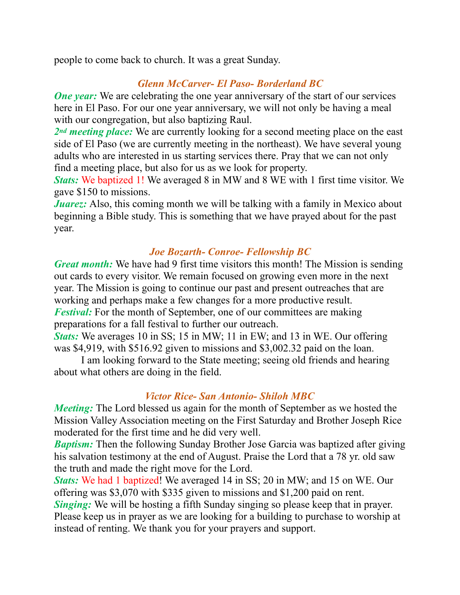people to come back to church. It was a great Sunday.

# *Glenn McCarver- El Paso- Borderland BC*

*One year:* We are celebrating the one year anniversary of the start of our services here in El Paso. For our one year anniversary, we will not only be having a meal with our congregation, but also baptizing Raul.

*2nd meeting place:* We are currently looking for a second meeting place on the east side of El Paso (we are currently meeting in the northeast). We have several young adults who are interested in us starting services there. Pray that we can not only find a meeting place, but also for us as we look for property.

*Stats:* We baptized 1! We averaged 8 in MW and 8 WE with 1 first time visitor. We gave \$150 to missions.

*Juarez:* Also, this coming month we will be talking with a family in Mexico about beginning a Bible study. This is something that we have prayed about for the past year.

## *Joe Bozarth- Conroe- Fellowship BC*

*Great month:* We have had 9 first time visitors this month! The Mission is sending out cards to every visitor. We remain focused on growing even more in the next year. The Mission is going to continue our past and present outreaches that are working and perhaps make a few changes for a more productive result. *Festival:* For the month of September, one of our committees are making preparations for a fall festival to further our outreach.

*Stats:* We averages 10 in SS; 15 in MW; 11 in EW; and 13 in WE. Our offering was \$4,919, with \$516.92 given to missions and \$3,002.32 paid on the loan.

 I am looking forward to the State meeting; seeing old friends and hearing about what others are doing in the field.

### *Victor Rice- San Antonio- Shiloh MBC*

*Meeting*: The Lord blessed us again for the month of September as we hosted the Mission Valley Association meeting on the First Saturday and Brother Joseph Rice moderated for the first time and he did very well.

*Baptism:* Then the following Sunday Brother Jose Garcia was baptized after giving his salvation testimony at the end of August. Praise the Lord that a 78 yr. old saw the truth and made the right move for the Lord.

*Stats:* We had 1 baptized! We averaged 14 in SS; 20 in MW; and 15 on WE. Our offering was \$3,070 with \$335 given to missions and \$1,200 paid on rent. *Singing:* We will be hosting a fifth Sunday singing so please keep that in prayer. Please keep us in prayer as we are looking for a building to purchase to worship at instead of renting. We thank you for your prayers and support.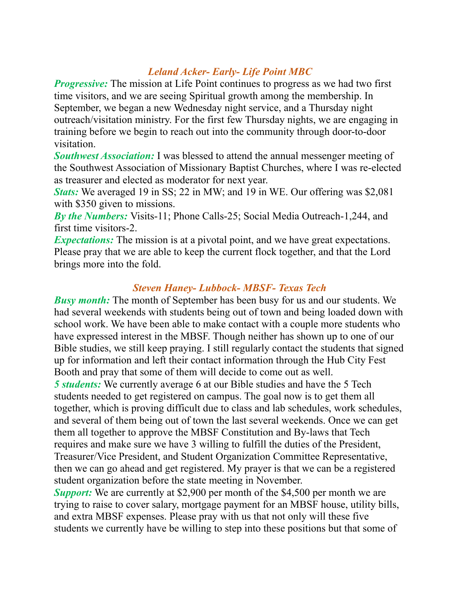## *Leland Acker- Early- Life Point MBC*

*Progressive:* The mission at Life Point continues to progress as we had two first time visitors, and we are seeing Spiritual growth among the membership. In September, we began a new Wednesday night service, and a Thursday night outreach/visitation ministry. For the first few Thursday nights, we are engaging in training before we begin to reach out into the community through door-to-door visitation.

*Southwest Association:* I was blessed to attend the annual messenger meeting of the Southwest Association of Missionary Baptist Churches, where I was re-elected as treasurer and elected as moderator for next year.

*Stats:* We averaged 19 in SS; 22 in MW; and 19 in WE. Our offering was \$2,081 with \$350 given to missions.

*By the Numbers:* Visits-11; Phone Calls-25; Social Media Outreach-1,244, and first time visitors-2.

*Expectations:* The mission is at a pivotal point, and we have great expectations. Please pray that we are able to keep the current flock together, and that the Lord brings more into the fold.

### *Steven Haney- Lubbock- MBSF- Texas Tech*

*Busy month:* The month of September has been busy for us and our students. We had several weekends with students being out of town and being loaded down with school work. We have been able to make contact with a couple more students who have expressed interest in the MBSF. Though neither has shown up to one of our Bible studies, we still keep praying. I still regularly contact the students that signed up for information and left their contact information through the Hub City Fest Booth and pray that some of them will decide to come out as well. *5 students:* We currently average 6 at our Bible studies and have the 5 Tech students needed to get registered on campus. The goal now is to get them all together, which is proving difficult due to class and lab schedules, work schedules, and several of them being out of town the last several weekends. Once we can get them all together to approve the MBSF Constitution and By-laws that Tech requires and make sure we have 3 willing to fulfill the duties of the President, Treasurer/Vice President, and Student Organization Committee Representative, then we can go ahead and get registered. My prayer is that we can be a registered

student organization before the state meeting in November.

*Support:* We are currently at \$2,900 per month of the \$4,500 per month we are trying to raise to cover salary, mortgage payment for an MBSF house, utility bills, and extra MBSF expenses. Please pray with us that not only will these five students we currently have be willing to step into these positions but that some of